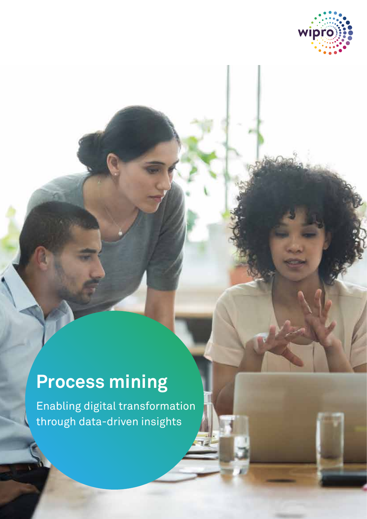

# **Process mining**

Enabling digital transformation through data-driven insights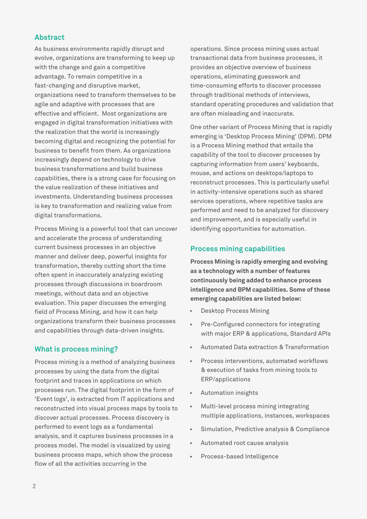## **Abstract**

As business environments rapidly disrupt and evolve, organizations are transforming to keep up with the change and gain a competitive advantage. To remain competitive in a fast-changing and disruptive market, organizations need to transform themselves to be agile and adaptive with processes that are effective and efficient. Most organizations are engaged in digital transformation initiatives with the realization that the world is increasingly becoming digital and recognizing the potential for business to benefit from them. As organizations increasingly depend on technology to drive business transformations and build business capabilities, there is a strong case for focusing on the value realization of these initiatives and investments. Understanding business processes is key to transformation and realizing value from digital transformations.

Process Mining is a powerful tool that can uncover and accelerate the process of understanding current business processes in an objective manner and deliver deep, powerful insights for transformation, thereby cutting short the time often spent in inaccurately analyzing existing processes through discussions in boardroom meetings, without data and an objective evaluation. This paper discusses the emerging field of Process Mining, and how it can help organizations transform their business processes and capabilities through data-driven insights.

## **What is process mining?**

Process mining is a method of analyzing business processes by using the data from the digital footprint and traces in applications on which processes run. The digital footprint in the form of 'Event logs', is extracted from IT applications and reconstructed into visual process maps by tools to discover actual processes. Process discovery is performed to event logs as a fundamental analysis, and it captures business processes in a process model. The model is visualized by using business process maps, which show the process flow of all the activities occurring in the

operations. Since process mining uses actual transactional data from business processes, it provides an objective overview of business operations, eliminating guesswork and time-consuming efforts to discover processes through traditional methods of interviews, standard operating procedures and validation that are often misleading and inaccurate.

One other variant of Process Mining that is rapidly emerging is 'Desktop Process Mining' (DPM). DPM is a Process Mining method that entails the capability of the tool to discover processes by capturing information from users' keyboards, mouse, and actions on desktops/laptops to reconstruct processes. This is particularly useful in activity-intensive operations such as shared services operations, where repetitive tasks are performed and need to be analyzed for discovery and improvement, and is especially useful in identifying opportunities for automation.

## **Process mining capabilities**

**Process Mining is rapidly emerging and evolving as a technology with a number of features continuously being added to enhance process intelligence and BPM capabilities. Some of these emerging capabilities are listed below:**

- Desktop Process Mining
- Pre-Configured connectors for integrating with major ERP & applications, Standard APIs
- Automated Data extraction & Transformation
- Process interventions, automated workflows & execution of tasks from mining tools to ERP/applications
- Automation insights
- Multi-level process mining integrating multiple applications, instances, workspaces
- Simulation, Predictive analysis & Compliance
- Automated root cause analysis
- Process-based Intelligence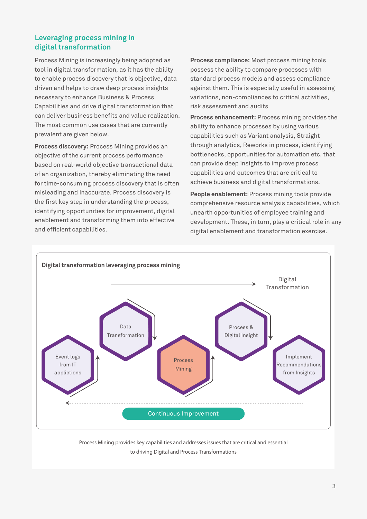## **Leveraging process mining in digital transformation**

Process Mining is increasingly being adopted as tool in digital transformation, as it has the ability to enable process discovery that is objective, data driven and helps to draw deep process insights necessary to enhance Business & Process Capabilities and drive digital transformation that can deliver business benefits and value realization. The most common use cases that are currently prevalent are given below.

**Process discovery:** Process Mining provides an objective of the current process performance based on real-world objective transactional data of an organization, thereby eliminating the need for time-consuming process discovery that is often misleading and inaccurate. Process discovery is the first key step in understanding the process, identifying opportunities for improvement, digital enablement and transforming them into effective and efficient capabilities.

**Process compliance:** Most process mining tools possess the ability to compare processes with standard process models and assess compliance against them. This is especially useful in assessing variations, non-compliances to critical activities, risk assessment and audits

**Process enhancement:** Process mining provides the ability to enhance processes by using various capabilities such as Variant analysis, Straight through analytics, Reworks in process, identifying bottlenecks, opportunities for automation etc. that can provide deep insights to improve process capabilities and outcomes that are critical to achieve business and digital transformations.

**People enablement:** Process mining tools provide comprehensive resource analysis capabilities, which unearth opportunities of employee training and development. These, in turn, play a critical role in any digital enablement and transformation exercise.



Process Mining provides key capabilities and addresses issues that are critical and essential to driving Digital and Process Transformations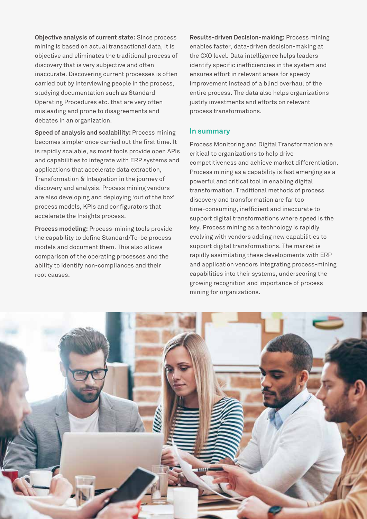**Objective analysis of current state:** Since process mining is based on actual transactional data, it is objective and eliminates the traditional process of discovery that is very subjective and often inaccurate. Discovering current processes is often carried out by interviewing people in the process, studying documentation such as Standard Operating Procedures etc. that are very often misleading and prone to disagreements and debates in an organization.

**Speed of analysis and scalability:** Process mining becomes simpler once carried out the first time. It is rapidly scalable, as most tools provide open APIs and capabilities to integrate with ERP systems and applications that accelerate data extraction, Transformation & Integration in the journey of discovery and analysis. Process mining vendors are also developing and deploying 'out of the box' process models, KPIs and configurators that accelerate the Insights process.

**Process modeling:** Process-mining tools provide the capability to define Standard/To-be process models and document them. This also allows comparison of the operating processes and the ability to identify non-compliances and their root causes.

**Results-driven Decision-making:** Process mining enables faster, data-driven decision-making at the CXO level. Data intelligence helps leaders identify specific inefficiencies in the system and ensures effort in relevant areas for speedy improvement instead of a blind overhaul of the entire process. The data also helps organizations justify investments and efforts on relevant process transformations.

#### **In summary**

Process Monitoring and Digital Transformation are critical to organizations to help drive competitiveness and achieve market differentiation. Process mining as a capability is fast emerging as a powerful and critical tool in enabling digital transformation. Traditional methods of process discovery and transformation are far too time-consuming, inefficient and inaccurate to support digital transformations where speed is the key. Process mining as a technology is rapidly evolving with vendors adding new capabilities to support digital transformations. The market is rapidly assimilating these developments with ERP and application vendors integrating process-mining capabilities into their systems, underscoring the growing recognition and importance of process mining for organizations.

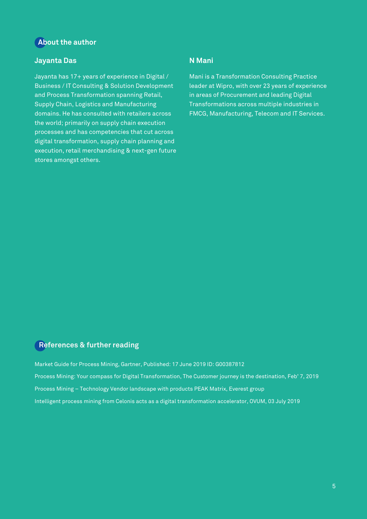## **About the author**

## **Jayanta Das**

Jayanta has 17+ years of experience in Digital / Business / IT Consulting & Solution Development and Process Transformation spanning Retail, Supply Chain, Logistics and Manufacturing domains. He has consulted with retailers across the world; primarily on supply chain execution processes and has competencies that cut across digital transformation, supply chain planning and execution, retail merchandising & next-gen future stores amongst others.

## **N Mani**

Mani is a Transformation Consulting Practice leader at Wipro, with over 23 years of experience in areas of Procurement and leading Digital Transformations across multiple industries in FMCG, Manufacturing, Telecom and IT Services.

### **References & further reading**

Market Guide for Process Mining, Gartner, Published: 17 June 2019 ID: G00387812 Process Mining: Your compass for Digital Transformation, The Customer journey is the destination, Feb' 7, 2019 Process Mining – Technology Vendor landscape with products PEAK Matrix, Everest group Intelligent process mining from Celonis acts as a digital transformation accelerator, OVUM, 03 July 2019